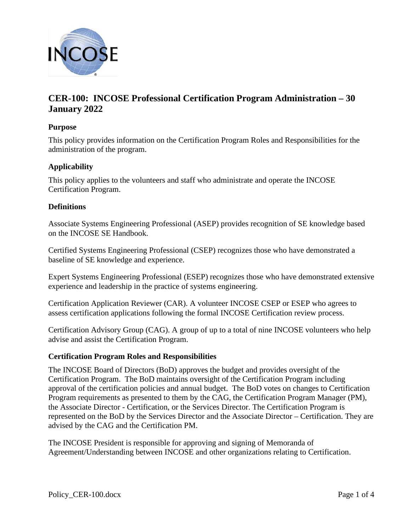

# **CER-100: INCOSE Professional Certification Program Administration – 30 January 2022**

## **Purpose**

This policy provides information on the Certification Program Roles and Responsibilities for the administration of the program.

# **Applicability**

This policy applies to the volunteers and staff who administrate and operate the INCOSE Certification Program.

#### **Definitions**

Associate Systems Engineering Professional (ASEP) provides recognition of SE knowledge based on the INCOSE SE Handbook.

Certified Systems Engineering Professional (CSEP) recognizes those who have demonstrated a baseline of SE knowledge and experience.

Expert Systems Engineering Professional (ESEP) recognizes those who have demonstrated extensive experience and leadership in the practice of systems engineering.

Certification Application Reviewer (CAR). A volunteer INCOSE CSEP or ESEP who agrees to assess certification applications following the formal INCOSE Certification review process.

Certification Advisory Group (CAG). A group of up to a total of nine INCOSE volunteers who help advise and assist the Certification Program.

#### **Certification Program Roles and Responsibilities**

The INCOSE Board of Directors (BoD) approves the budget and provides oversight of the Certification Program. The BoD maintains oversight of the Certification Program including approval of the certification policies and annual budget. The BoD votes on changes to Certification Program requirements as presented to them by the CAG, the Certification Program Manager (PM), the Associate Director - Certification, or the Services Director. The Certification Program is represented on the BoD by the Services Director and the Associate Director – Certification. They are advised by the CAG and the Certification PM.

The INCOSE President is responsible for approving and signing of Memoranda of Agreement/Understanding between INCOSE and other organizations relating to Certification.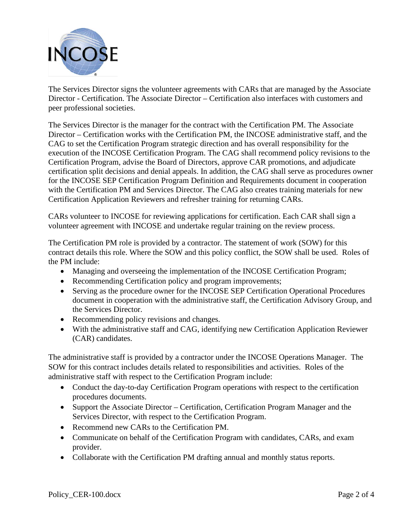

The Services Director signs the volunteer agreements with CARs that are managed by the Associate Director - Certification. The Associate Director – Certification also interfaces with customers and peer professional societies.

The Services Director is the manager for the contract with the Certification PM. The Associate Director – Certification works with the Certification PM, the INCOSE administrative staff, and the CAG to set the Certification Program strategic direction and has overall responsibility for the execution of the INCOSE Certification Program. The CAG shall recommend policy revisions to the Certification Program, advise the Board of Directors, approve CAR promotions, and adjudicate certification split decisions and denial appeals. In addition, the CAG shall serve as procedures owner for the INCOSE SEP Certification Program Definition and Requirements document in cooperation with the Certification PM and Services Director. The CAG also creates training materials for new Certification Application Reviewers and refresher training for returning CARs.

CARs volunteer to INCOSE for reviewing applications for certification. Each CAR shall sign a volunteer agreement with INCOSE and undertake regular training on the review process.

The Certification PM role is provided by a contractor. The statement of work (SOW) for this contract details this role. Where the SOW and this policy conflict, the SOW shall be used. Roles of the PM include:

- Managing and overseeing the implementation of the INCOSE Certification Program;
- Recommending Certification policy and program improvements;
- Serving as the procedure owner for the INCOSE SEP Certification Operational Procedures document in cooperation with the administrative staff, the Certification Advisory Group, and the Services Director.
- Recommending policy revisions and changes.
- With the administrative staff and CAG, identifying new Certification Application Reviewer (CAR) candidates.

The administrative staff is provided by a contractor under the INCOSE Operations Manager. The SOW for this contract includes details related to responsibilities and activities. Roles of the administrative staff with respect to the Certification Program include:

- Conduct the day-to-day Certification Program operations with respect to the certification procedures documents.
- Support the Associate Director Certification, Certification Program Manager and the Services Director, with respect to the Certification Program.
- Recommend new CARs to the Certification PM.
- Communicate on behalf of the Certification Program with candidates, CARs, and exam provider.
- Collaborate with the Certification PM drafting annual and monthly status reports.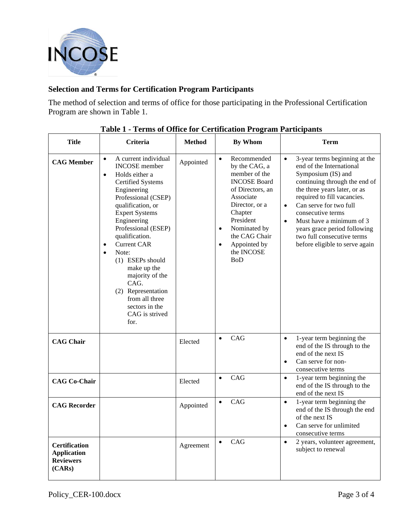

# **Selection and Terms for Certification Program Participants**

The method of selection and terms of office for those participating in the Professional Certification Program are shown in Table 1.

| <b>Title</b>                                                             | Criteria                                                                                                                                                                                                                                                                                                                                                                                                                                                                      | <b>Method</b> | <b>By Whom</b>                                                                                                                                                                                                                                                      | <b>Term</b>                                                                                                                                                                                                                                                                                                                                                                                       |
|--------------------------------------------------------------------------|-------------------------------------------------------------------------------------------------------------------------------------------------------------------------------------------------------------------------------------------------------------------------------------------------------------------------------------------------------------------------------------------------------------------------------------------------------------------------------|---------------|---------------------------------------------------------------------------------------------------------------------------------------------------------------------------------------------------------------------------------------------------------------------|---------------------------------------------------------------------------------------------------------------------------------------------------------------------------------------------------------------------------------------------------------------------------------------------------------------------------------------------------------------------------------------------------|
| <b>CAG Member</b>                                                        | A current individual<br>$\bullet$<br><b>INCOSE</b> member<br>Holds either a<br>$\bullet$<br><b>Certified Systems</b><br>Engineering<br>Professional (CSEP)<br>qualification, or<br><b>Expert Systems</b><br>Engineering<br>Professional (ESEP)<br>qualification.<br><b>Current CAR</b><br>$\bullet$<br>Note:<br>$\bullet$<br>$(1)$ ESEPs should<br>make up the<br>majority of the<br>CAG.<br>(2) Representation<br>from all three<br>sectors in the<br>CAG is strived<br>for. | Appointed     | Recommended<br>$\bullet$<br>by the CAG, a<br>member of the<br><b>INCOSE Board</b><br>of Directors, an<br>Associate<br>Director, or a<br>Chapter<br>President<br>Nominated by<br>$\bullet$<br>the CAG Chair<br>Appointed by<br>$\bullet$<br>the INCOSE<br><b>BoD</b> | 3-year terms beginning at the<br>$\bullet$<br>end of the International<br>Symposium (IS) and<br>continuing through the end of<br>the three years later, or as<br>required to fill vacancies.<br>Can serve for two full<br>$\bullet$<br>consecutive terms<br>Must have a minimum of 3<br>$\bullet$<br>years grace period following<br>two full consecutive terms<br>before eligible to serve again |
| <b>CAG Chair</b>                                                         |                                                                                                                                                                                                                                                                                                                                                                                                                                                                               | Elected       | CAG<br>$\bullet$                                                                                                                                                                                                                                                    | 1-year term beginning the<br>$\bullet$<br>end of the IS through to the<br>end of the next IS<br>Can serve for non-<br>$\bullet$<br>consecutive terms                                                                                                                                                                                                                                              |
| <b>CAG Co-Chair</b>                                                      |                                                                                                                                                                                                                                                                                                                                                                                                                                                                               | Elected       | CAG<br>$\bullet$                                                                                                                                                                                                                                                    | 1-year term beginning the<br>$\bullet$<br>end of the IS through to the<br>end of the next IS                                                                                                                                                                                                                                                                                                      |
| <b>CAG Recorder</b>                                                      |                                                                                                                                                                                                                                                                                                                                                                                                                                                                               | Appointed     | CAG<br>$\bullet$                                                                                                                                                                                                                                                    | 1-year term beginning the<br>$\bullet$<br>end of the IS through the end<br>of the next IS<br>Can serve for unlimited<br>$\bullet$<br>consecutive terms                                                                                                                                                                                                                                            |
| <b>Certification</b><br><b>Application</b><br><b>Reviewers</b><br>(CARS) |                                                                                                                                                                                                                                                                                                                                                                                                                                                                               | Agreement     | CAG<br>$\bullet$                                                                                                                                                                                                                                                    | 2 years, volunteer agreement,<br>$\bullet$<br>subject to renewal                                                                                                                                                                                                                                                                                                                                  |

## **Table 1 - Terms of Office for Certification Program Participants**